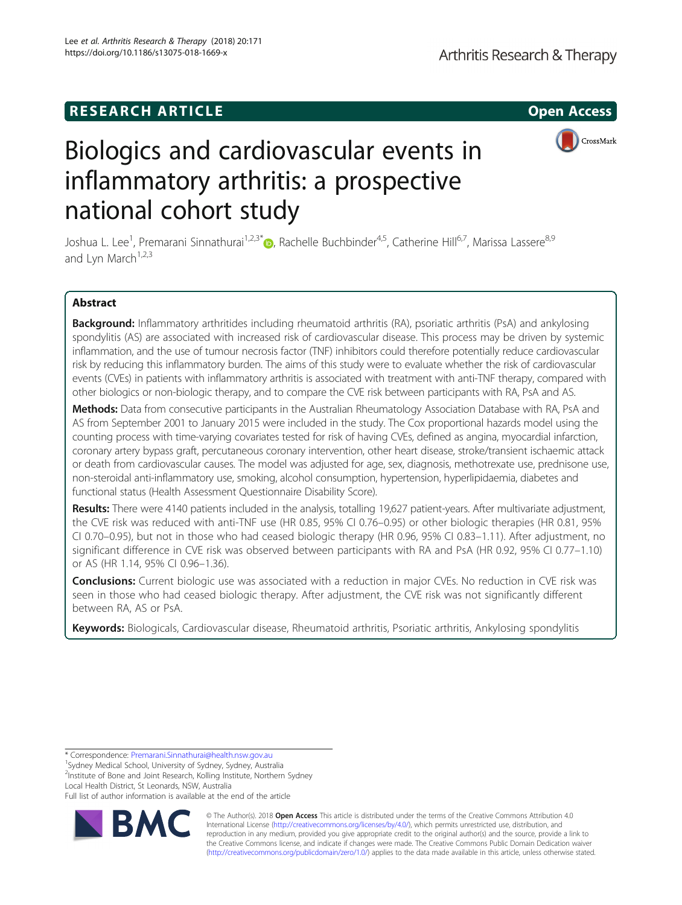## **RESEARCH ARTICLE Example 2014 12:30 The SEAR CH ACCESS**



# Biologics and cardiovascular events in inflammatory arthritis: a prospective national cohort study

Joshua L. Lee<sup>1</sup>[,](http://orcid.org/0000-0002-8142-1274) Premarani Sinnathurai<sup>1,2,3\*</sup>®, Rachelle Buchbinder<sup>4,5</sup>, Catherine Hill<sup>6,7</sup>, Marissa Lassere<sup>8,9</sup> and Lyn March $1,2,3$ 

### Abstract

Background: Inflammatory arthritides including rheumatoid arthritis (RA), psoriatic arthritis (PsA) and ankylosing spondylitis (AS) are associated with increased risk of cardiovascular disease. This process may be driven by systemic inflammation, and the use of tumour necrosis factor (TNF) inhibitors could therefore potentially reduce cardiovascular risk by reducing this inflammatory burden. The aims of this study were to evaluate whether the risk of cardiovascular events (CVEs) in patients with inflammatory arthritis is associated with treatment with anti-TNF therapy, compared with other biologics or non-biologic therapy, and to compare the CVE risk between participants with RA, PsA and AS.

Methods: Data from consecutive participants in the Australian Rheumatology Association Database with RA, PsA and AS from September 2001 to January 2015 were included in the study. The Cox proportional hazards model using the counting process with time-varying covariates tested for risk of having CVEs, defined as angina, myocardial infarction, coronary artery bypass graft, percutaneous coronary intervention, other heart disease, stroke/transient ischaemic attack or death from cardiovascular causes. The model was adjusted for age, sex, diagnosis, methotrexate use, prednisone use, non-steroidal anti-inflammatory use, smoking, alcohol consumption, hypertension, hyperlipidaemia, diabetes and functional status (Health Assessment Questionnaire Disability Score).

Results: There were 4140 patients included in the analysis, totalling 19,627 patient-years. After multivariate adjustment, the CVE risk was reduced with anti-TNF use (HR 0.85, 95% CI 0.76–0.95) or other biologic therapies (HR 0.81, 95% CI 0.70–0.95), but not in those who had ceased biologic therapy (HR 0.96, 95% CI 0.83–1.11). After adjustment, no significant difference in CVE risk was observed between participants with RA and PsA (HR 0.92, 95% CI 0.77–1.10) or AS (HR 1.14, 95% CI 0.96–1.36).

**Conclusions:** Current biologic use was associated with a reduction in major CVEs. No reduction in CVE risk was seen in those who had ceased biologic therapy. After adjustment, the CVE risk was not significantly different between RA, AS or PsA.

Keywords: Biologicals, Cardiovascular disease, Rheumatoid arthritis, Psoriatic arthritis, Ankylosing spondylitis

\* Correspondence: [Premarani.Sinnathurai@health.nsw.gov.au](mailto:Premarani.Sinnathurai@health.nsw.gov.au) <sup>1</sup>

<sup>1</sup>Sydney Medical School, University of Sydney, Sydney, Australia

<sup>2</sup>Institute of Bone and Joint Research, Kolling Institute, Northern Sydney Local Health District, St Leonards, NSW, Australia

Full list of author information is available at the end of the article



© The Author(s). 2018 Open Access This article is distributed under the terms of the Creative Commons Attribution 4.0 International License [\(http://creativecommons.org/licenses/by/4.0/](http://creativecommons.org/licenses/by/4.0/)), which permits unrestricted use, distribution, and reproduction in any medium, provided you give appropriate credit to the original author(s) and the source, provide a link to the Creative Commons license, and indicate if changes were made. The Creative Commons Public Domain Dedication waiver [\(http://creativecommons.org/publicdomain/zero/1.0/](http://creativecommons.org/publicdomain/zero/1.0/)) applies to the data made available in this article, unless otherwise stated.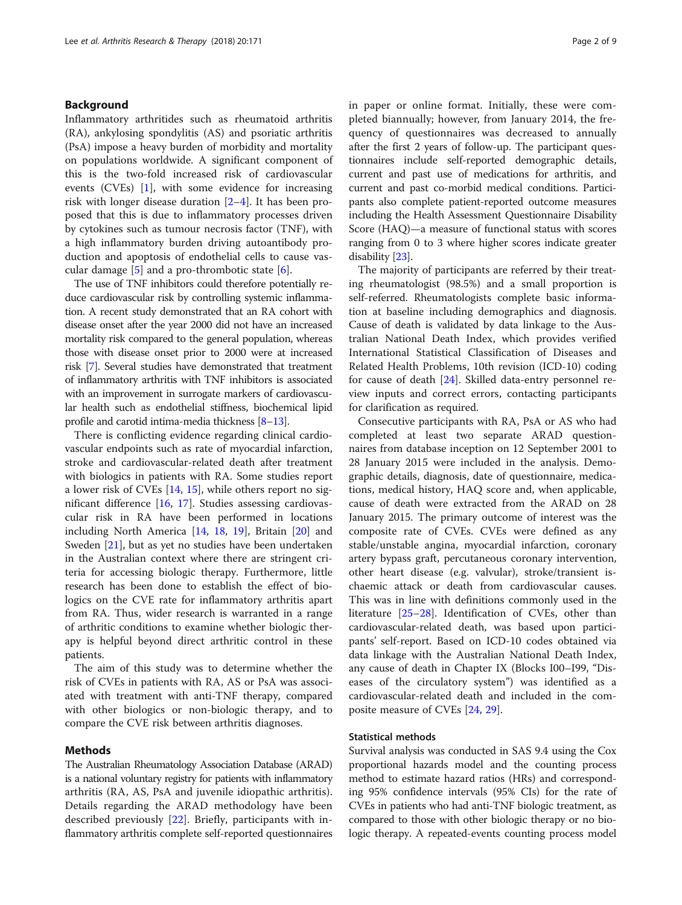#### Background

Inflammatory arthritides such as rheumatoid arthritis (RA), ankylosing spondylitis (AS) and psoriatic arthritis (PsA) impose a heavy burden of morbidity and mortality on populations worldwide. A significant component of this is the two-fold increased risk of cardiovascular events (CVEs) [[1\]](#page-7-0), with some evidence for increasing risk with longer disease duration  $[2-4]$  $[2-4]$  $[2-4]$  $[2-4]$ . It has been proposed that this is due to inflammatory processes driven by cytokines such as tumour necrosis factor (TNF), with a high inflammatory burden driving autoantibody production and apoptosis of endothelial cells to cause vascular damage  $[5]$  $[5]$  and a pro-thrombotic state  $[6]$  $[6]$ .

The use of TNF inhibitors could therefore potentially reduce cardiovascular risk by controlling systemic inflammation. A recent study demonstrated that an RA cohort with disease onset after the year 2000 did not have an increased mortality risk compared to the general population, whereas those with disease onset prior to 2000 were at increased risk [[7](#page-7-0)]. Several studies have demonstrated that treatment of inflammatory arthritis with TNF inhibitors is associated with an improvement in surrogate markers of cardiovascular health such as endothelial stiffness, biochemical lipid profile and carotid intima-media thickness [\[8](#page-7-0)–[13\]](#page-7-0).

There is conflicting evidence regarding clinical cardiovascular endpoints such as rate of myocardial infarction, stroke and cardiovascular-related death after treatment with biologics in patients with RA. Some studies report a lower risk of CVEs [[14,](#page-7-0) [15\]](#page-7-0), while others report no significant difference [\[16,](#page-8-0) [17\]](#page-8-0). Studies assessing cardiovascular risk in RA have been performed in locations including North America [[14](#page-7-0), [18,](#page-8-0) [19](#page-8-0)], Britain [\[20\]](#page-8-0) and Sweden [\[21](#page-8-0)], but as yet no studies have been undertaken in the Australian context where there are stringent criteria for accessing biologic therapy. Furthermore, little research has been done to establish the effect of biologics on the CVE rate for inflammatory arthritis apart from RA. Thus, wider research is warranted in a range of arthritic conditions to examine whether biologic therapy is helpful beyond direct arthritic control in these patients.

The aim of this study was to determine whether the risk of CVEs in patients with RA, AS or PsA was associated with treatment with anti-TNF therapy, compared with other biologics or non-biologic therapy, and to compare the CVE risk between arthritis diagnoses.

#### Methods

The Australian Rheumatology Association Database (ARAD) is a national voluntary registry for patients with inflammatory arthritis (RA, AS, PsA and juvenile idiopathic arthritis). Details regarding the ARAD methodology have been described previously [\[22](#page-8-0)]. Briefly, participants with inflammatory arthritis complete self-reported questionnaires in paper or online format. Initially, these were completed biannually; however, from January 2014, the frequency of questionnaires was decreased to annually after the first 2 years of follow-up. The participant questionnaires include self-reported demographic details, current and past use of medications for arthritis, and current and past co-morbid medical conditions. Participants also complete patient-reported outcome measures including the Health Assessment Questionnaire Disability Score (HAQ)—a measure of functional status with scores ranging from 0 to 3 where higher scores indicate greater disability [[23](#page-8-0)].

The majority of participants are referred by their treating rheumatologist (98.5%) and a small proportion is self-referred. Rheumatologists complete basic information at baseline including demographics and diagnosis. Cause of death is validated by data linkage to the Australian National Death Index, which provides verified International Statistical Classification of Diseases and Related Health Problems, 10th revision (ICD-10) coding for cause of death [[24](#page-8-0)]. Skilled data-entry personnel review inputs and correct errors, contacting participants for clarification as required.

Consecutive participants with RA, PsA or AS who had completed at least two separate ARAD questionnaires from database inception on 12 September 2001 to 28 January 2015 were included in the analysis. Demographic details, diagnosis, date of questionnaire, medications, medical history, HAQ score and, when applicable, cause of death were extracted from the ARAD on 28 January 2015. The primary outcome of interest was the composite rate of CVEs. CVEs were defined as any stable/unstable angina, myocardial infarction, coronary artery bypass graft, percutaneous coronary intervention, other heart disease (e.g. valvular), stroke/transient ischaemic attack or death from cardiovascular causes. This was in line with definitions commonly used in the literature [[25](#page-8-0)–[28\]](#page-8-0). Identification of CVEs, other than cardiovascular-related death, was based upon participants' self-report. Based on ICD-10 codes obtained via data linkage with the Australian National Death Index, any cause of death in Chapter IX (Blocks I00–I99, "Diseases of the circulatory system") was identified as a cardiovascular-related death and included in the composite measure of CVEs [\[24,](#page-8-0) [29\]](#page-8-0).

#### Statistical methods

Survival analysis was conducted in SAS 9.4 using the Cox proportional hazards model and the counting process method to estimate hazard ratios (HRs) and corresponding 95% confidence intervals (95% CIs) for the rate of CVEs in patients who had anti-TNF biologic treatment, as compared to those with other biologic therapy or no biologic therapy. A repeated-events counting process model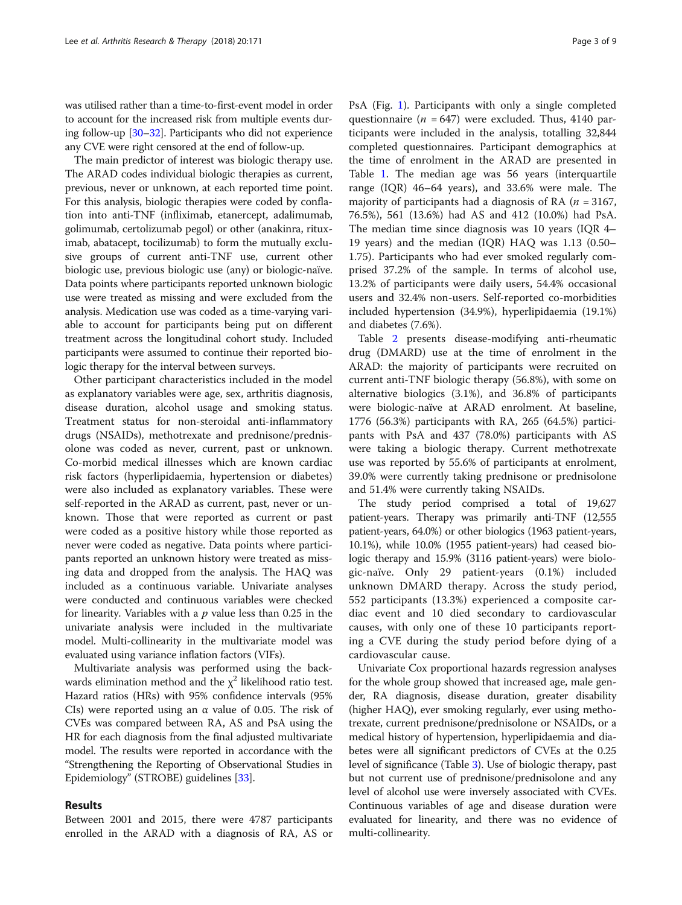was utilised rather than a time-to-first-event model in order to account for the increased risk from multiple events during follow-up [\[30](#page-8-0)–[32](#page-8-0)]. Participants who did not experience any CVE were right censored at the end of follow-up.

The main predictor of interest was biologic therapy use. The ARAD codes individual biologic therapies as current, previous, never or unknown, at each reported time point. For this analysis, biologic therapies were coded by conflation into anti-TNF (infliximab, etanercept, adalimumab, golimumab, certolizumab pegol) or other (anakinra, rituximab, abatacept, tocilizumab) to form the mutually exclusive groups of current anti-TNF use, current other biologic use, previous biologic use (any) or biologic-naïve. Data points where participants reported unknown biologic use were treated as missing and were excluded from the analysis. Medication use was coded as a time-varying variable to account for participants being put on different treatment across the longitudinal cohort study. Included participants were assumed to continue their reported biologic therapy for the interval between surveys.

Other participant characteristics included in the model as explanatory variables were age, sex, arthritis diagnosis, disease duration, alcohol usage and smoking status. Treatment status for non-steroidal anti-inflammatory drugs (NSAIDs), methotrexate and prednisone/prednisolone was coded as never, current, past or unknown. Co-morbid medical illnesses which are known cardiac risk factors (hyperlipidaemia, hypertension or diabetes) were also included as explanatory variables. These were self-reported in the ARAD as current, past, never or unknown. Those that were reported as current or past were coded as a positive history while those reported as never were coded as negative. Data points where participants reported an unknown history were treated as missing data and dropped from the analysis. The HAQ was included as a continuous variable. Univariate analyses were conducted and continuous variables were checked for linearity. Variables with a  $p$  value less than 0.25 in the univariate analysis were included in the multivariate model. Multi-collinearity in the multivariate model was evaluated using variance inflation factors (VIFs).

Multivariate analysis was performed using the backwards elimination method and the  $\chi^2$  likelihood ratio test. Hazard ratios (HRs) with 95% confidence intervals (95% CIs) were reported using an  $\alpha$  value of 0.05. The risk of CVEs was compared between RA, AS and PsA using the HR for each diagnosis from the final adjusted multivariate model. The results were reported in accordance with the "Strengthening the Reporting of Observational Studies in Epidemiology" (STROBE) guidelines [[33\]](#page-8-0).

#### Results

Between 2001 and 2015, there were 4787 participants enrolled in the ARAD with a diagnosis of RA, AS or

PsA (Fig. [1](#page-3-0)). Participants with only a single completed questionnaire ( $n = 647$ ) were excluded. Thus, 4140 participants were included in the analysis, totalling 32,844 completed questionnaires. Participant demographics at the time of enrolment in the ARAD are presented in Table [1](#page-4-0). The median age was 56 years (interquartile range (IQR) 46–64 years), and 33.6% were male. The majority of participants had a diagnosis of RA ( $n = 3167$ , 76.5%), 561 (13.6%) had AS and 412 (10.0%) had PsA. The median time since diagnosis was 10 years (IQR 4– 19 years) and the median (IQR) HAQ was 1.13 (0.50– 1.75). Participants who had ever smoked regularly comprised 37.2% of the sample. In terms of alcohol use, 13.2% of participants were daily users, 54.4% occasional users and 32.4% non-users. Self-reported co-morbidities included hypertension (34.9%), hyperlipidaemia (19.1%) and diabetes (7.6%).

Table [2](#page-5-0) presents disease-modifying anti-rheumatic drug (DMARD) use at the time of enrolment in the ARAD: the majority of participants were recruited on current anti-TNF biologic therapy (56.8%), with some on alternative biologics (3.1%), and 36.8% of participants were biologic-naïve at ARAD enrolment. At baseline, 1776 (56.3%) participants with RA, 265 (64.5%) participants with PsA and 437 (78.0%) participants with AS were taking a biologic therapy. Current methotrexate use was reported by 55.6% of participants at enrolment, 39.0% were currently taking prednisone or prednisolone and 51.4% were currently taking NSAIDs.

The study period comprised a total of 19,627 patient-years. Therapy was primarily anti-TNF (12,555 patient-years, 64.0%) or other biologics (1963 patient-years, 10.1%), while 10.0% (1955 patient-years) had ceased biologic therapy and 15.9% (3116 patient-years) were biologic-naïve. Only 29 patient-years (0.1%) included unknown DMARD therapy. Across the study period, 552 participants (13.3%) experienced a composite cardiac event and 10 died secondary to cardiovascular causes, with only one of these 10 participants reporting a CVE during the study period before dying of a cardiovascular cause.

Univariate Cox proportional hazards regression analyses for the whole group showed that increased age, male gender, RA diagnosis, disease duration, greater disability (higher HAQ), ever smoking regularly, ever using methotrexate, current prednisone/prednisolone or NSAIDs, or a medical history of hypertension, hyperlipidaemia and diabetes were all significant predictors of CVEs at the 0.25 level of significance (Table [3](#page-5-0)). Use of biologic therapy, past but not current use of prednisone/prednisolone and any level of alcohol use were inversely associated with CVEs. Continuous variables of age and disease duration were evaluated for linearity, and there was no evidence of multi-collinearity.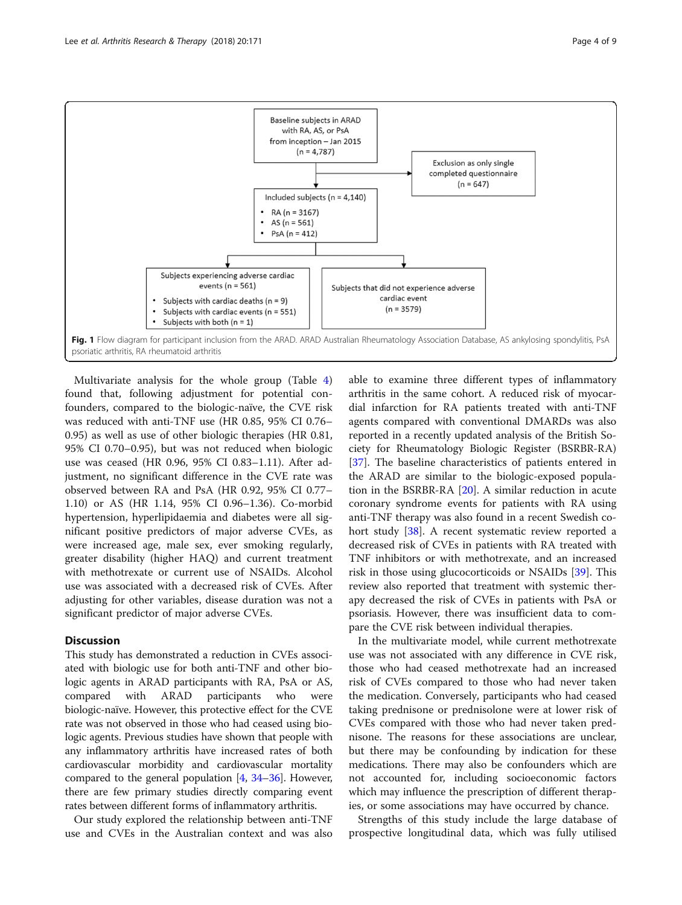<span id="page-3-0"></span>

Multivariate analysis for the whole group (Table [4](#page-6-0)) found that, following adjustment for potential confounders, compared to the biologic-naïve, the CVE risk was reduced with anti-TNF use (HR 0.85, 95% CI 0.76– 0.95) as well as use of other biologic therapies (HR 0.81, 95% CI 0.70–0.95), but was not reduced when biologic use was ceased (HR 0.96, 95% CI 0.83–1.11). After adjustment, no significant difference in the CVE rate was observed between RA and PsA (HR 0.92, 95% CI 0.77– 1.10) or AS (HR 1.14, 95% CI 0.96–1.36). Co-morbid hypertension, hyperlipidaemia and diabetes were all significant positive predictors of major adverse CVEs, as were increased age, male sex, ever smoking regularly, greater disability (higher HAQ) and current treatment with methotrexate or current use of NSAIDs. Alcohol use was associated with a decreased risk of CVEs. After adjusting for other variables, disease duration was not a significant predictor of major adverse CVEs.

#### **Discussion**

This study has demonstrated a reduction in CVEs associated with biologic use for both anti-TNF and other biologic agents in ARAD participants with RA, PsA or AS, compared with ARAD participants who were biologic-naïve. However, this protective effect for the CVE rate was not observed in those who had ceased using biologic agents. Previous studies have shown that people with any inflammatory arthritis have increased rates of both cardiovascular morbidity and cardiovascular mortality compared to the general population [\[4](#page-7-0), [34](#page-8-0)–[36\]](#page-8-0). However, there are few primary studies directly comparing event rates between different forms of inflammatory arthritis.

Our study explored the relationship between anti-TNF use and CVEs in the Australian context and was also

able to examine three different types of inflammatory arthritis in the same cohort. A reduced risk of myocardial infarction for RA patients treated with anti-TNF agents compared with conventional DMARDs was also reported in a recently updated analysis of the British Society for Rheumatology Biologic Register (BSRBR-RA) [[37\]](#page-8-0). The baseline characteristics of patients entered in the ARAD are similar to the biologic-exposed population in the BSRBR-RA [\[20](#page-8-0)]. A similar reduction in acute coronary syndrome events for patients with RA using anti-TNF therapy was also found in a recent Swedish co-hort study [\[38\]](#page-8-0). A recent systematic review reported a decreased risk of CVEs in patients with RA treated with TNF inhibitors or with methotrexate, and an increased risk in those using glucocorticoids or NSAIDs [[39\]](#page-8-0). This review also reported that treatment with systemic therapy decreased the risk of CVEs in patients with PsA or psoriasis. However, there was insufficient data to compare the CVE risk between individual therapies.

In the multivariate model, while current methotrexate use was not associated with any difference in CVE risk, those who had ceased methotrexate had an increased risk of CVEs compared to those who had never taken the medication. Conversely, participants who had ceased taking prednisone or prednisolone were at lower risk of CVEs compared with those who had never taken prednisone. The reasons for these associations are unclear, but there may be confounding by indication for these medications. There may also be confounders which are not accounted for, including socioeconomic factors which may influence the prescription of different therapies, or some associations may have occurred by chance.

Strengths of this study include the large database of prospective longitudinal data, which was fully utilised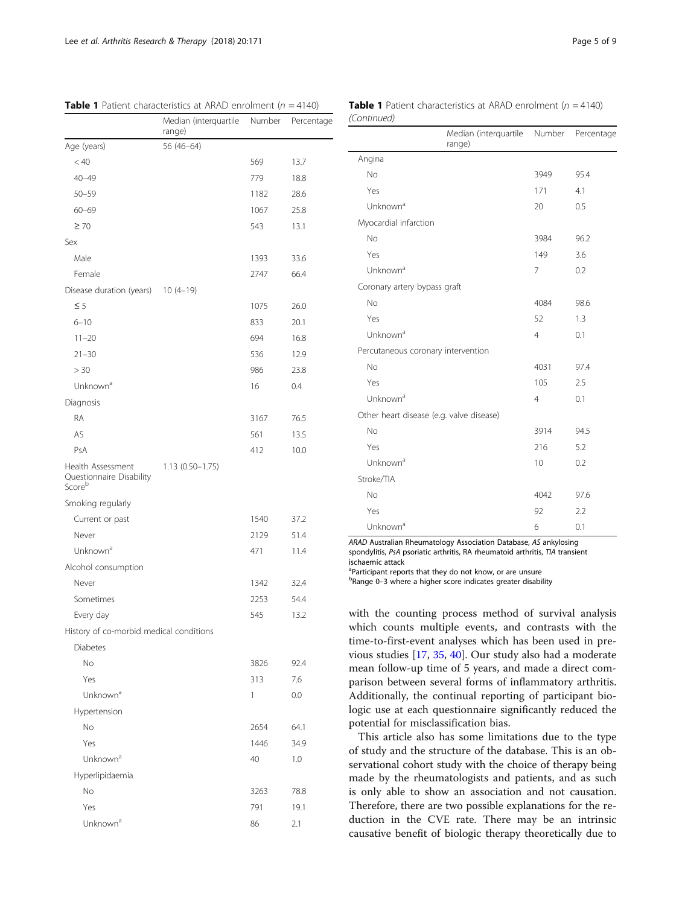|                                                         | Median (interquartile<br>range) | Number | Percentage |
|---------------------------------------------------------|---------------------------------|--------|------------|
| Age (years)                                             | 56 (46-64)                      |        |            |
| < 40                                                    |                                 | 569    | 13.7       |
| $40 - 49$                                               |                                 | 779    | 18.8       |
| $50 - 59$                                               |                                 | 1182   | 28.6       |
| $60 - 69$                                               |                                 | 1067   | 25.8       |
| $\geq 70$                                               |                                 | 543    | 13.1       |
| Sex                                                     |                                 |        |            |
| Male                                                    |                                 | 1393   | 33.6       |
| Female                                                  |                                 | 2747   | 66.4       |
| Disease duration (years) 10 (4-19)                      |                                 |        |            |
| $\leq$ 5                                                |                                 | 1075   | 26.0       |
| $6 - 10$                                                |                                 | 833    | 20.1       |
| $11 - 20$                                               |                                 | 694    | 16.8       |
| $21 - 30$                                               |                                 | 536    | 12.9       |
| > 30                                                    |                                 | 986    | 23.8       |
| Unknown <sup>a</sup>                                    |                                 | 16     | 0.4        |
| Diagnosis                                               |                                 |        |            |
| <b>RA</b>                                               |                                 | 3167   | 76.5       |
| AS                                                      |                                 | 561    | 13.5       |
| PsA                                                     |                                 | 412    | 10.0       |
| Health Assessment<br>Questionnaire Disability<br>Scoreb | $1.13(0.50-1.75)$               |        |            |
| Smoking regularly                                       |                                 |        |            |
| Current or past                                         |                                 | 1540   | 37.2       |
| Never                                                   |                                 | 2129   | 51.4       |
| Unknown <sup>a</sup>                                    |                                 | 471    | 11.4       |
| Alcohol consumption                                     |                                 |        |            |
| Never                                                   |                                 | 1342   | 32.4       |
| Sometimes                                               |                                 | 2253   | 54.4       |
| Every day                                               |                                 | 545    | 13.2       |
| History of co-morbid medical conditions                 |                                 |        |            |
| <b>Diabetes</b>                                         |                                 |        |            |
| No                                                      |                                 | 3826   | 92.4       |
| Yes                                                     |                                 | 313    | 7.6        |
| Unknown <sup>a</sup>                                    |                                 | 1      | 0.0        |
| Hypertension                                            |                                 |        |            |
| No                                                      |                                 | 2654   | 64.1       |
| Yes                                                     |                                 | 1446   | 34.9       |
| Unknown <sup>a</sup>                                    |                                 | 40     | 1.0        |
| Hyperlipidaemia                                         |                                 |        |            |
| No                                                      |                                 | 3263   | 78.8       |
| Yes                                                     |                                 | 791    | 19.1       |
| Unknown <sup>a</sup>                                    |                                 | 86     | 2.1        |

<span id="page-4-0"></span>**Table 1** Patient characteristics at ARAD enrolment ( $n = 4140$ ) **Table 1** Patient characteristics at ARAD enrolment ( $n = 4140$ )

| (Continued) |  |
|-------------|--|
|             |  |

|                                          | Median (interquartile Number<br>range) |                | Percentage |
|------------------------------------------|----------------------------------------|----------------|------------|
| Angina                                   |                                        |                |            |
| No                                       |                                        | 3949           | 95.4       |
| Yes                                      |                                        | 171            | 4.1        |
| Unknown <sup>a</sup>                     |                                        | 20             | 0.5        |
| Myocardial infarction                    |                                        |                |            |
| <b>No</b>                                |                                        | 3984           | 96.2       |
| Yes                                      |                                        | 149            | 3.6        |
| Unknown <sup>a</sup>                     |                                        | 7              | 0.2        |
| Coronary artery bypass graft             |                                        |                |            |
| <b>No</b>                                |                                        | 4084           | 98.6       |
| Yes                                      |                                        | 52             | 1.3        |
| Unknown <sup>a</sup>                     |                                        | $\overline{4}$ | 0.1        |
| Percutaneous coronary intervention       |                                        |                |            |
| <b>No</b>                                |                                        | 4031           | 97.4       |
| Yes                                      |                                        | 105            | 2.5        |
| Unknown <sup>a</sup>                     |                                        | $\overline{4}$ | 0.1        |
| Other heart disease (e.g. valve disease) |                                        |                |            |
| <b>No</b>                                |                                        | 3914           | 94.5       |
| Yes                                      |                                        | 216            | 5.2        |
| Unknown <sup>a</sup>                     |                                        | 10             | 0.2        |
| Stroke/TIA                               |                                        |                |            |
| <b>No</b>                                |                                        | 4042           | 97.6       |
| Yes                                      |                                        | 92             | 2.2        |
| Unknown <sup>a</sup>                     |                                        | 6              | 0.1        |

ARAD Australian Rheumatology Association Database, AS ankylosing spondylitis, PsA psoriatic arthritis, RA rheumatoid arthritis, TIA transient ischaemic attack

<sup>a</sup>Participant reports that they do not know, or are unsure

bRange 0-3 where a higher score indicates greater disability

with the counting process method of survival analysis which counts multiple events, and contrasts with the time-to-first-event analyses which has been used in previous studies [\[17](#page-8-0), [35](#page-8-0), [40](#page-8-0)]. Our study also had a moderate mean follow-up time of 5 years, and made a direct comparison between several forms of inflammatory arthritis. Additionally, the continual reporting of participant biologic use at each questionnaire significantly reduced the potential for misclassification bias.

This article also has some limitations due to the type of study and the structure of the database. This is an observational cohort study with the choice of therapy being made by the rheumatologists and patients, and as such is only able to show an association and not causation. Therefore, there are two possible explanations for the reduction in the CVE rate. There may be an intrinsic causative benefit of biologic therapy theoretically due to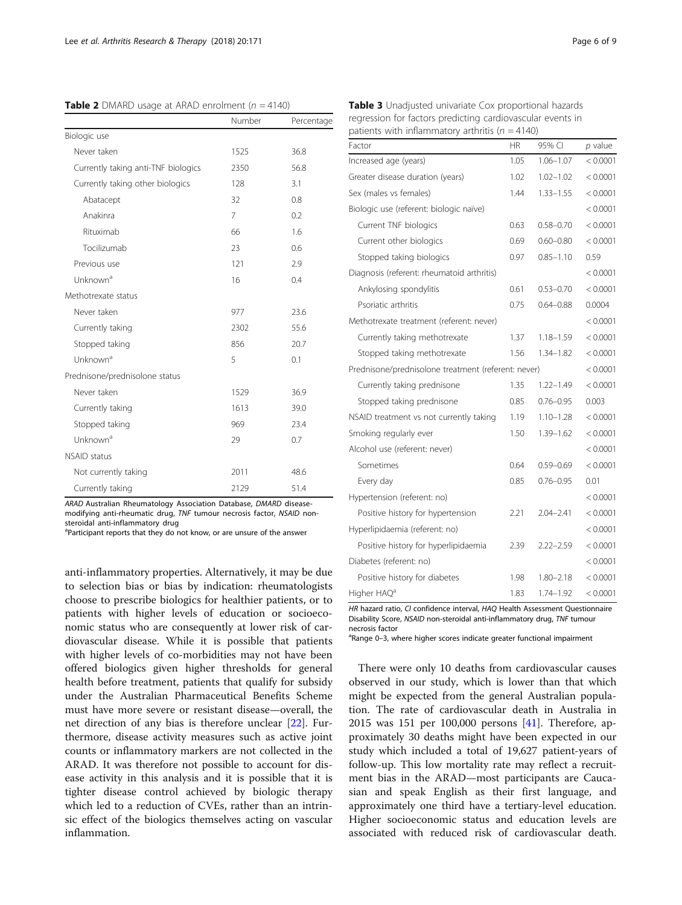<span id="page-5-0"></span>**Table 2** DMARD usage at ARAD enrolment ( $n = 4140$ )

|                                     | Number         | Percentage |
|-------------------------------------|----------------|------------|
| Biologic use                        |                |            |
| Never taken                         | 1525           | 36.8       |
| Currently taking anti-TNF biologics | 2350           | 56.8       |
| Currently taking other biologics    | 128            | 3.1        |
| Abatacept                           | 32             | 0.8        |
| Anakinra                            | $\overline{7}$ | 0.2        |
| Rituximab                           | 66             | 1.6        |
| Tocilizumab                         | 23             | 0.6        |
| Previous use                        | 121            | 2.9        |
| Unknown <sup>a</sup>                | 16             | 0.4        |
| Methotrexate status                 |                |            |
| Never taken                         | 977            | 23.6       |
| Currently taking                    | 2302           | 55.6       |
| Stopped taking                      | 856            | 20.7       |
| Unknown <sup>a</sup>                | 5              | 0.1        |
| Prednisone/prednisolone status      |                |            |
| Never taken                         | 1529           | 36.9       |
| Currently taking                    | 1613           | 39.0       |
| Stopped taking                      | 969            | 23.4       |
| Unknown <sup>a</sup>                | 29             | 0.7        |
| <b>NSAID</b> status                 |                |            |
| Not currently taking                | 2011           | 48.6       |
| Currently taking                    | 2129           | 51.4       |

ARAD Australian Rheumatology Association Database, DMARD diseasemodifying anti-rheumatic drug, TNF tumour necrosis factor, NSAID nonsteroidal anti-inflammatory drug

<sup>a</sup>Participant reports that they do not know, or are unsure of the answer

anti-inflammatory properties. Alternatively, it may be due to selection bias or bias by indication: rheumatologists choose to prescribe biologics for healthier patients, or to patients with higher levels of education or socioeconomic status who are consequently at lower risk of cardiovascular disease. While it is possible that patients with higher levels of co-morbidities may not have been offered biologics given higher thresholds for general health before treatment, patients that qualify for subsidy under the Australian Pharmaceutical Benefits Scheme must have more severe or resistant disease—overall, the net direction of any bias is therefore unclear [[22\]](#page-8-0). Furthermore, disease activity measures such as active joint counts or inflammatory markers are not collected in the ARAD. It was therefore not possible to account for disease activity in this analysis and it is possible that it is tighter disease control achieved by biologic therapy which led to a reduction of CVEs, rather than an intrinsic effect of the biologics themselves acting on vascular inflammation.

Table 3 Unadjusted univariate Cox proportional hazards regression for factors predicting cardiovascular events in patients with inflammatory arthritis ( $n = 4140$ )

| Factor                                              | <b>HR</b> | 95% CI        | $p$ value |
|-----------------------------------------------------|-----------|---------------|-----------|
| Increased age (years)                               | 1.05      | $1.06 - 1.07$ | < 0.0001  |
| Greater disease duration (years)                    | 1.02      | $1.02 - 1.02$ | < 0.0001  |
| Sex (males vs females)                              | 1.44      | $1.33 - 1.55$ | < 0.0001  |
| Biologic use (referent: biologic naïve)             |           |               | < 0.0001  |
| Current TNF biologics                               | 0.63      | $0.58 - 0.70$ | < 0.0001  |
| Current other biologics                             | 0.69      | $0.60 - 0.80$ | < 0.0001  |
| Stopped taking biologics                            | 0.97      | $0.85 - 1.10$ | 0.59      |
| Diagnosis (referent: rheumatoid arthritis)          |           |               | < 0.0001  |
| Ankylosing spondylitis                              | 0.61      | $0.53 - 0.70$ | < 0.0001  |
| Psoriatic arthritis                                 | 0.75      | $0.64 - 0.88$ | 0.0004    |
| Methotrexate treatment (referent: never)            |           |               | < 0.0001  |
| Currently taking methotrexate                       | 1.37      | $1.18 - 1.59$ | < 0.0001  |
| Stopped taking methotrexate                         | 1.56      | $1.34 - 1.82$ | < 0.0001  |
| Prednisone/prednisolone treatment (referent: never) |           |               | < 0.0001  |
| Currently taking prednisone                         | 1.35      | $1.22 - 1.49$ | < 0.0001  |
| Stopped taking prednisone                           | 0.85      | $0.76 - 0.95$ | 0.003     |
| NSAID treatment vs not currently taking             | 1.19      | $1.10 - 1.28$ | < 0.0001  |
| Smoking regularly ever                              | 1.50      | $1.39 - 1.62$ | < 0.0001  |
| Alcohol use (referent: never)                       |           |               | < 0.0001  |
| Sometimes                                           | 0.64      | $0.59 - 0.69$ | < 0.0001  |
| Every day                                           | 0.85      | $0.76 - 0.95$ | 0.01      |
| Hypertension (referent: no)                         |           |               | < 0.0001  |
| Positive history for hypertension                   | 2.21      | $2.04 - 2.41$ | < 0.0001  |
| Hyperlipidaemia (referent: no)                      |           |               | < 0.0001  |
| Positive history for hyperlipidaemia                | 2.39      | $2.22 - 2.59$ | < 0.0001  |
| Diabetes (referent: no)                             |           |               | < 0.0001  |
| Positive history for diabetes                       | 1.98      | $1.80 - 2.18$ | < 0.0001  |
| Higher HAQ <sup>a</sup>                             | 1.83      | 1.74-1.92     | < 0.0001  |

HR hazard ratio, CI confidence interval, HAQ Health Assessment Questionnaire Disability Score, NSAID non-steroidal anti-inflammatory drug, TNF tumour necrosis factor

<sup>a</sup>Range 0-3, where higher scores indicate greater functional impairment

There were only 10 deaths from cardiovascular causes observed in our study, which is lower than that which might be expected from the general Australian population. The rate of cardiovascular death in Australia in 2015 was 151 per 100,000 persons [\[41](#page-8-0)]. Therefore, approximately 30 deaths might have been expected in our study which included a total of 19,627 patient-years of follow-up. This low mortality rate may reflect a recruitment bias in the ARAD—most participants are Caucasian and speak English as their first language, and approximately one third have a tertiary-level education. Higher socioeconomic status and education levels are associated with reduced risk of cardiovascular death.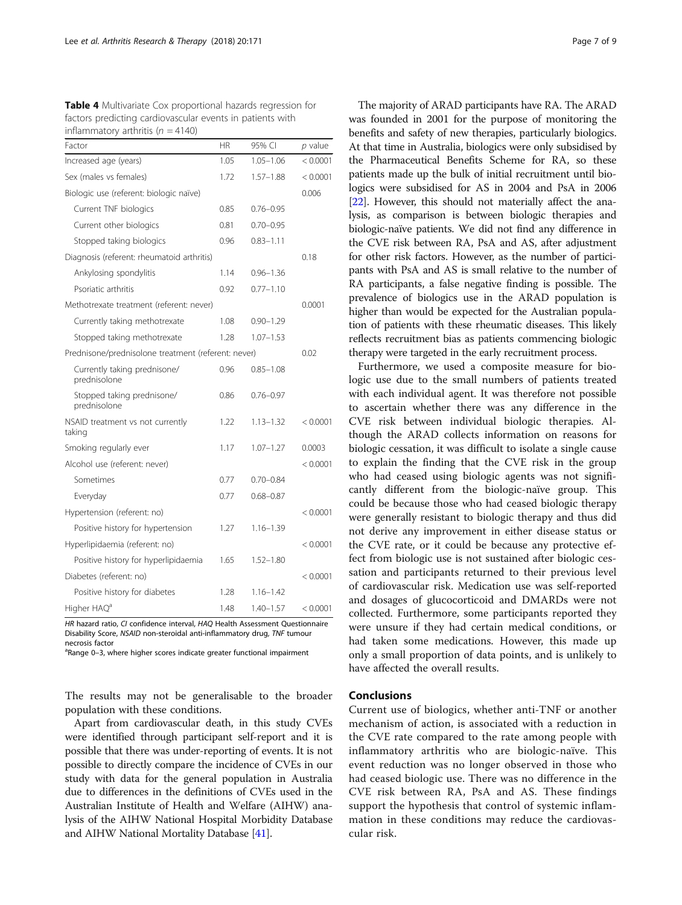<span id="page-6-0"></span>

| <b>Table 4</b> Multivariate Cox proportional hazards regression for |
|---------------------------------------------------------------------|
| factors predicting cardiovascular events in patients with           |
| inflammatory arthritis ( $n = 4140$ )                               |

| Factor                                              | <b>HR</b> | 95% CI        | $p$ value |
|-----------------------------------------------------|-----------|---------------|-----------|
| Increased age (years)                               | 1.05      | $1.05 - 1.06$ | < 0.0001  |
| Sex (males vs females)                              | 1.72      | $1.57 - 1.88$ | < 0.0001  |
| Biologic use (referent: biologic naïve)             |           |               | 0.006     |
| Current TNF biologics                               | 0.85      | $0.76 - 0.95$ |           |
| Current other biologics                             | 0.81      | $0.70 - 0.95$ |           |
| Stopped taking biologics                            | 0.96      | $0.83 - 1.11$ |           |
| Diagnosis (referent: rheumatoid arthritis)          |           |               | 0.18      |
| Ankylosing spondylitis                              | 1.14      | $0.96 - 1.36$ |           |
| Psoriatic arthritis                                 | 0.92      | $0.77 - 1.10$ |           |
| Methotrexate treatment (referent: never)            |           |               | 0.0001    |
| Currently taking methotrexate                       | 1.08      | $0.90 - 1.29$ |           |
| Stopped taking methotrexate                         | 1.28      | $1.07 - 1.53$ |           |
| Prednisone/prednisolone treatment (referent: never) |           |               | 0.02      |
| Currently taking prednisone/<br>prednisolone        | 0.96      | $0.85 - 1.08$ |           |
| Stopped taking prednisone/<br>prednisolone          | 0.86      | $0.76 - 0.97$ |           |
| NSAID treatment vs not currently<br>taking          | 1.22      | $1.13 - 1.32$ | < 0.0001  |
| Smoking regularly ever                              | 1.17      | $1.07 - 1.27$ | 0.0003    |
| Alcohol use (referent: never)                       |           |               | < 0.0001  |
| Sometimes                                           | 0.77      | $0.70 - 0.84$ |           |
| Everyday                                            | 0.77      | $0.68 - 0.87$ |           |
| Hypertension (referent: no)                         |           |               | < 0.0001  |
| Positive history for hypertension                   | 1.27      | $1.16 - 1.39$ |           |
| Hyperlipidaemia (referent: no)                      |           |               | < 0.0001  |
| Positive history for hyperlipidaemia                | 1.65      | $1.52 - 1.80$ |           |
| Diabetes (referent: no)                             |           |               | < 0.0001  |
| Positive history for diabetes                       | 1.28      | $1.16 - 1.42$ |           |
| Higher HAQ <sup>a</sup>                             | 1.48      | $1.40 - 1.57$ | < 0.0001  |

HR hazard ratio, CI confidence interval, HAQ Health Assessment Questionnaire Disability Score, NSAID non-steroidal anti-inflammatory drug, TNF tumour necrosis factor

<sup>a</sup>Range 0-3, where higher scores indicate greater functional impairment

The results may not be generalisable to the broader population with these conditions.

Apart from cardiovascular death, in this study CVEs were identified through participant self-report and it is possible that there was under-reporting of events. It is not possible to directly compare the incidence of CVEs in our study with data for the general population in Australia due to differences in the definitions of CVEs used in the Australian Institute of Health and Welfare (AIHW) analysis of the AIHW National Hospital Morbidity Database and AIHW National Mortality Database [\[41\]](#page-8-0).

The majority of ARAD participants have RA. The ARAD was founded in 2001 for the purpose of monitoring the benefits and safety of new therapies, particularly biologics. At that time in Australia, biologics were only subsidised by the Pharmaceutical Benefits Scheme for RA, so these patients made up the bulk of initial recruitment until biologics were subsidised for AS in 2004 and PsA in 2006 [[22](#page-8-0)]. However, this should not materially affect the analysis, as comparison is between biologic therapies and biologic-naïve patients. We did not find any difference in the CVE risk between RA, PsA and AS, after adjustment for other risk factors. However, as the number of participants with PsA and AS is small relative to the number of RA participants, a false negative finding is possible. The prevalence of biologics use in the ARAD population is higher than would be expected for the Australian population of patients with these rheumatic diseases. This likely reflects recruitment bias as patients commencing biologic therapy were targeted in the early recruitment process.

Furthermore, we used a composite measure for biologic use due to the small numbers of patients treated with each individual agent. It was therefore not possible to ascertain whether there was any difference in the CVE risk between individual biologic therapies. Although the ARAD collects information on reasons for biologic cessation, it was difficult to isolate a single cause to explain the finding that the CVE risk in the group who had ceased using biologic agents was not significantly different from the biologic-naïve group. This could be because those who had ceased biologic therapy were generally resistant to biologic therapy and thus did not derive any improvement in either disease status or the CVE rate, or it could be because any protective effect from biologic use is not sustained after biologic cessation and participants returned to their previous level of cardiovascular risk. Medication use was self-reported and dosages of glucocorticoid and DMARDs were not collected. Furthermore, some participants reported they were unsure if they had certain medical conditions, or had taken some medications. However, this made up only a small proportion of data points, and is unlikely to have affected the overall results.

#### Conclusions

Current use of biologics, whether anti-TNF or another mechanism of action, is associated with a reduction in the CVE rate compared to the rate among people with inflammatory arthritis who are biologic-naïve. This event reduction was no longer observed in those who had ceased biologic use. There was no difference in the CVE risk between RA, PsA and AS. These findings support the hypothesis that control of systemic inflammation in these conditions may reduce the cardiovascular risk.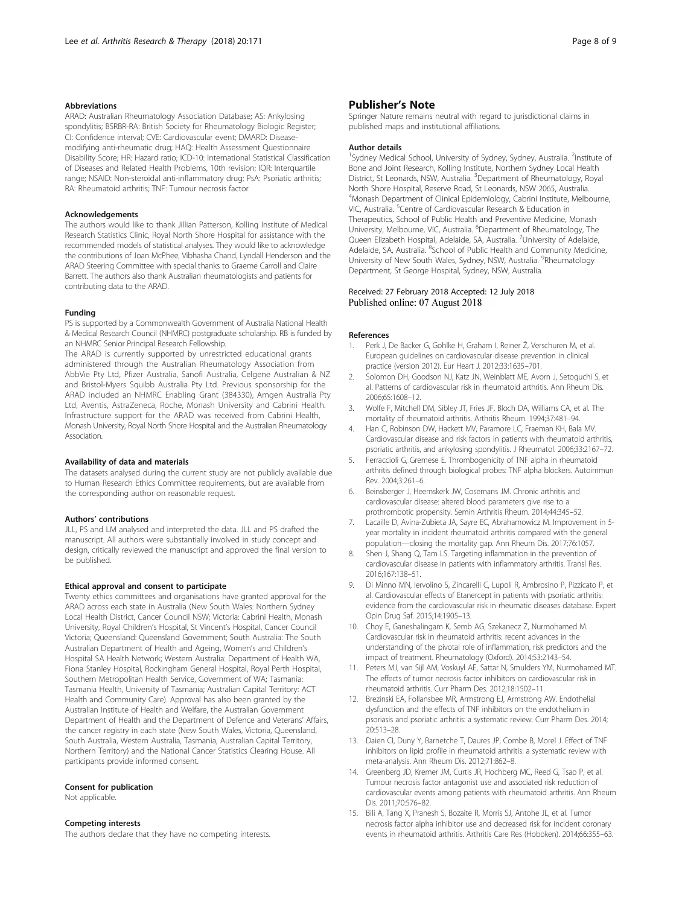#### <span id="page-7-0"></span>Abbreviations

ARAD: Australian Rheumatology Association Database; AS: Ankylosing spondylitis; BSRBR-RA: British Society for Rheumatology Biologic Register; CI: Confidence interval; CVE: Cardiovascular event; DMARD: Diseasemodifying anti-rheumatic drug; HAQ: Health Assessment Questionnaire Disability Score; HR: Hazard ratio; ICD-10: International Statistical Classification of Diseases and Related Health Problems, 10th revision; IQR: Interquartile range; NSAID: Non-steroidal anti-inflammatory drug; PsA: Psoriatic arthritis; RA: Rheumatoid arthritis; TNF: Tumour necrosis factor

#### Acknowledgements

The authors would like to thank Jillian Patterson, Kolling Institute of Medical Research Statistics Clinic, Royal North Shore Hospital for assistance with the recommended models of statistical analyses. They would like to acknowledge the contributions of Joan McPhee, Vibhasha Chand, Lyndall Henderson and the ARAD Steering Committee with special thanks to Graeme Carroll and Claire Barrett. The authors also thank Australian rheumatologists and patients for contributing data to the ARAD.

#### Funding

PS is supported by a Commonwealth Government of Australia National Health & Medical Research Council (NHMRC) postgraduate scholarship. RB is funded by an NHMRC Senior Principal Research Fellowship.

The ARAD is currently supported by unrestricted educational grants administered through the Australian Rheumatology Association from AbbVie Pty Ltd, Pfizer Australia, Sanofi Australia, Celgene Australian & NZ and Bristol-Myers Squibb Australia Pty Ltd. Previous sponsorship for the ARAD included an NHMRC Enabling Grant (384330), Amgen Australia Pty Ltd, Aventis, AstraZeneca, Roche, Monash University and Cabrini Health. Infrastructure support for the ARAD was received from Cabrini Health, Monash University, Royal North Shore Hospital and the Australian Rheumatology Association.

#### Availability of data and materials

The datasets analysed during the current study are not publicly available due to Human Research Ethics Committee requirements, but are available from the corresponding author on reasonable request.

#### Authors' contributions

JLL, PS and LM analysed and interpreted the data. JLL and PS drafted the manuscript. All authors were substantially involved in study concept and design, critically reviewed the manuscript and approved the final version to be published.

#### Ethical approval and consent to participate

Twenty ethics committees and organisations have granted approval for the ARAD across each state in Australia (New South Wales: Northern Sydney Local Health District, Cancer Council NSW; Victoria: Cabrini Health, Monash University, Royal Children's Hospital, St Vincent's Hospital, Cancer Council Victoria; Queensland: Queensland Government; South Australia: The South Australian Department of Health and Ageing, Women's and Children's Hospital SA Health Network; Western Australia: Department of Health WA, Fiona Stanley Hospital, Rockingham General Hospital, Royal Perth Hospital, Southern Metropolitan Health Service, Government of WA; Tasmania: Tasmania Health, University of Tasmania; Australian Capital Territory: ACT Health and Community Care). Approval has also been granted by the Australian Institute of Health and Welfare, the Australian Government Department of Health and the Department of Defence and Veterans' Affairs, the cancer registry in each state (New South Wales, Victoria, Queensland, South Australia, Western Australia, Tasmania, Australian Capital Territory, Northern Territory) and the National Cancer Statistics Clearing House. All participants provide informed consent.

#### Consent for publication

Not applicable.

#### Competing interests

The authors declare that they have no competing interests.

#### Publisher's Note

Springer Nature remains neutral with regard to jurisdictional claims in published maps and institutional affiliations.

#### Author details

<sup>1</sup>Sydney Medical School, University of Sydney, Sydney, Australia. <sup>2</sup>Institute of Bone and Joint Research, Kolling Institute, Northern Sydney Local Health District, St Leonards, NSW, Australia. <sup>3</sup>Department of Rheumatology, Royal North Shore Hospital, Reserve Road, St Leonards, NSW 2065, Australia. 4 Monash Department of Clinical Epidemiology, Cabrini Institute, Melbourne, VIC, Australia. <sup>5</sup>Centre of Cardiovascular Research & Education in Therapeutics, School of Public Health and Preventive Medicine, Monash University, Melbourne, VIC, Australia. <sup>6</sup>Department of Rheumatology, The Queen Elizabeth Hospital, Adelaide, SA, Australia. <sup>7</sup>University of Adelaide Adelaide, SA, Australia. <sup>8</sup>School of Public Health and Community Medicine, University of New South Wales, Sydney, NSW, Australia. <sup>9</sup>Rheumatology Department, St George Hospital, Sydney, NSW, Australia.

#### Received: 27 February 2018 Accepted: 12 July 2018 Published online: 07 August 2018

#### References

- 1. Perk J, De Backer G, Gohlke H, Graham I, Reiner Ž, Verschuren M, et al. European guidelines on cardiovascular disease prevention in clinical practice (version 2012). Eur Heart J. 2012;33:1635–701.
- 2. Solomon DH, Goodson NJ, Katz JN, Weinblatt ME, Avorn J, Setoguchi S, et al. Patterns of cardiovascular risk in rheumatoid arthritis. Ann Rheum Dis. 2006;65:1608–12.
- 3. Wolfe F, Mitchell DM, Sibley JT, Fries JF, Bloch DA, Williams CA, et al. The mortality of rheumatoid arthritis. Arthritis Rheum. 1994;37:481–94.
- 4. Han C, Robinson DW, Hackett MV, Paramore LC, Fraeman KH, Bala MV. Cardiovascular disease and risk factors in patients with rheumatoid arthritis, psoriatic arthritis, and ankylosing spondylitis. J Rheumatol. 2006;33:2167–72.
- 5. Ferraccioli G, Gremese E. Thrombogenicity of TNF alpha in rheumatoid arthritis defined through biological probes: TNF alpha blockers. Autoimmun Rev. 2004;3:261–6.
- 6. Beinsberger J, Heemskerk JW, Cosemans JM. Chronic arthritis and cardiovascular disease: altered blood parameters give rise to a prothrombotic propensity. Semin Arthritis Rheum. 2014;44:345–52.
- 7. Lacaille D, Avina-Zubieta JA, Sayre EC, Abrahamowicz M. Improvement in 5 year mortality in incident rheumatoid arthritis compared with the general population—closing the mortality gap. Ann Rheum Dis. 2017;76:1057.
- 8. Shen J, Shang Q, Tam LS. Targeting inflammation in the prevention of cardiovascular disease in patients with inflammatory arthritis. Transl Res. 2016;167:138–51.
- 9. Di Minno MN, Iervolino S, Zincarelli C, Lupoli R, Ambrosino P, Pizzicato P, et al. Cardiovascular effects of Etanercept in patients with psoriatic arthritis: evidence from the cardiovascular risk in rheumatic diseases database. Expert Opin Drug Saf. 2015;14:1905–13.
- 10. Choy E, Ganeshalingam K, Semb AG, Szekanecz Z, Nurmohamed M. Cardiovascular risk in rheumatoid arthritis: recent advances in the understanding of the pivotal role of inflammation, risk predictors and the impact of treatment. Rheumatology (Oxford). 2014;53:2143–54.
- 11. Peters MJ, van Sijl AM, Voskuyl AE, Sattar N, Smulders YM, Nurmohamed MT. The effects of tumor necrosis factor inhibitors on cardiovascular risk in rheumatoid arthritis. Curr Pharm Des. 2012;18:1502–11.
- 12. Brezinski EA, Follansbee MR, Armstrong EJ, Armstrong AW. Endothelial dysfunction and the effects of TNF inhibitors on the endothelium in psoriasis and psoriatic arthritis: a systematic review. Curr Pharm Des. 2014; 20:513–28.
- 13. Daien CI, Duny Y, Barnetche T, Daures JP, Combe B, Morel J. Effect of TNF inhibitors on lipid profile in rheumatoid arthritis: a systematic review with meta-analysis. Ann Rheum Dis. 2012;71:862–8.
- 14. Greenberg JD, Kremer JM, Curtis JR, Hochberg MC, Reed G, Tsao P, et al. Tumour necrosis factor antagonist use and associated risk reduction of cardiovascular events among patients with rheumatoid arthritis. Ann Rheum Dis. 2011;70:576–82.
- 15. Bili A, Tang X, Pranesh S, Bozaite R, Morris SJ, Antohe JL, et al. Tumor necrosis factor alpha inhibitor use and decreased risk for incident coronary events in rheumatoid arthritis. Arthritis Care Res (Hoboken). 2014;66:355–63.